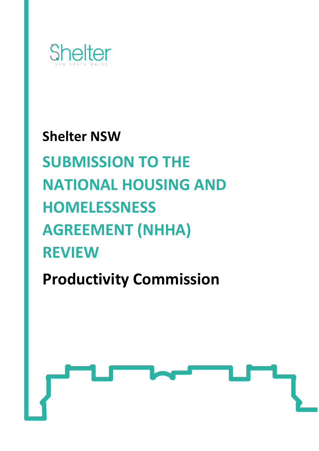

# **Shelter NSW SUBMISSION TO THE NATIONAL HOUSING AND HOMELESSNESS AGREEMENT (NHHA) REVIEW**

**Productivity Commission**

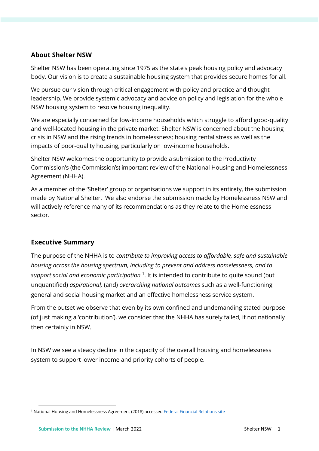## **About Shelter NSW**

Shelter NSW has been operating since 1975 as the state's peak housing policy and advocacy body. Our vision is to create a sustainable housing system that provides secure homes for all.

We pursue our vision through critical engagement with policy and practice and thought leadership. We provide systemic advocacy and advice on policy and legislation for the whole NSW housing system to resolve housing inequality.

We are especially concerned for low-income households which struggle to afford good-quality and well-located housing in the private market. Shelter NSW is concerned about the housing crisis in NSW and the rising trends in homelessness; housing rental stress as well as the impacts of poor-quality housing, particularly on low-income households.

Shelter NSW welcomes the opportunity to provide a submission to the Productivity Commission's (the Commission's) important review of the National Housing and Homelessness Agreement (NHHA).

As a member of the 'Shelter' group of organisations we support in its entirety, the submission made by National Shelter. We also endorse the submission made by Homelessness NSW and will actively reference many of its recommendations as they relate to the Homelessness sector.

# **Executive Summary**

The purpose of the NHHA is to *contribute to improving access to affordable, safe and sustainable housing across the housing spectrum, including to prevent and address homelessness, and to support social and economic participation* <sup>1</sup> . It is intended to contribute to quite sound (but unquantified) *aspirational,* (and) *overarching national outcomes* such as a well-functioning general and social housing market and an effective homelessness service system.

From the outset we observe that even by its own confined and undemanding stated purpose (of just making a 'contribution'), we consider that the NHHA has surely failed, if not nationally then certainly in NSW.

In NSW we see a steady decline in the capacity of the overall housing and homelessness system to support lower income and priority cohorts of people.

<sup>&</sup>lt;sup>1</sup> National Housing and Homelessness Agreement (2018) accesse[d Federal Financial Relations site](https://federalfinancialrelations.gov.au/sites/federalfinancialrelations.gov.au/files/2021-07/NHHA_Final.pdf)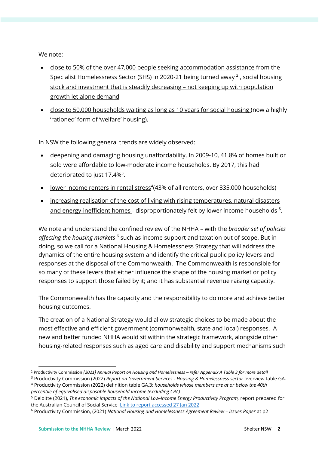We note:

- close to 50% of the over 47,000 people seeking accommodation assistance from the Specialist Homelessness Sector (SHS) in 2020-21 being turned away<sup>2</sup>, social housing stock and investment that is steadily decreasing – not keeping up with population growth let alone demand
- close to 50,000 households waiting as long as 10 years for social housing (now a highly 'rationed' form of 'welfare' housing).

In NSW the following general trends are widely observed:

- deepening and damaging housing unaffordability. In 2009-10, 41.8% of homes built or sold were affordable to low-moderate income households. By 2017, this had deteriorated to just  $17.4\%$ <sup>3</sup>.
- lower income renters in rental stress<sup>4</sup>(43% of all renters, over 335,000 households)
- increasing realisation of the cost of living with rising temperatures, natural disasters and energy-inefficient homes - disproportionately felt by lower income households **<sup>5</sup> .**

We note and understand the confined review of the NHHA – with the *broader set of policies*  affecting the housing markets <sup>6</sup> such as income support and taxation out of scope. But in doing, so we call for a National Housing & Homelessness Strategy that will address the dynamics of the entire housing system and identify the critical public policy levers and responses at the disposal of the Commonwealth. The Commonwealth is responsible for so many of these levers that either influence the shape of the housing market or policy responses to support those failed by it; and it has substantial revenue raising capacity.

The Commonwealth has the capacity and the responsibility to do more and achieve better housing outcomes.

The creation of a National Strategy would allow strategic choices to be made about the most effective and efficient government (commonwealth, state and local) responses. A new and better funded NHHA would sit within the strategic framework, alongside other housing-related responses such as aged care and disability and support mechanisms such

<sup>2</sup> Productivity Commission *(2021) Annual Report on Housing and Homelessness – refer Appendix A Table 3 for more detail*

<sup>3</sup> Productivity Commission (2022) *Report on Government Services - Housing & Homelessness sector* overview table GA-

<sup>4</sup> Productivity Commission (2022) definition table GA.3: *households whose members are at or below the 40th percentile of equivalised disposable household income (excluding CRA)*

<sup>5</sup> Deloitte (2021), *The economic impacts of the National Low-Income Energy Productivity Program,* report prepared for the Australian Council of Social Service [Link to report accessed 27 Jan 2022](https://www.acoss.org.au/wp-content/uploads/2021/10/DAE-ACOSS_Economic_Impacts_of_NLEPP_Final_Report_211005.pdf)

<sup>6</sup> Productivity Commission, (2021) *National Housing and Homelessness Agreement Review – Issues Paper* at p2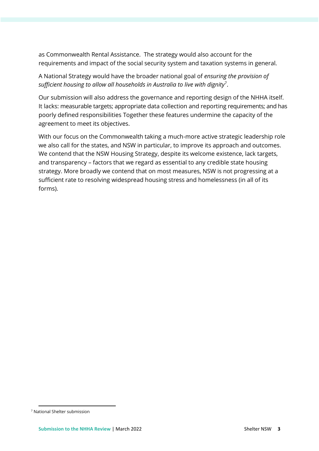as Commonwealth Rental Assistance. The strategy would also account for the requirements and impact of the social security system and taxation systems in general.

A National Strategy would have the broader national goal of *ensuring the provision of sufficient housing to allow all households in Australia to live with dignity*<sup>7</sup> .

Our submission will also address the governance and reporting design of the NHHA itself. It lacks: measurable targets; appropriate data collection and reporting requirements; and has poorly defined responsibilities Together these features undermine the capacity of the agreement to meet its objectives.

With our focus on the Commonwealth taking a much-more active strategic leadership role we also call for the states, and NSW in particular, to improve its approach and outcomes. We contend that the NSW Housing Strategy, despite its welcome existence, lack targets, and transparency – factors that we regard as essential to any credible state housing strategy. More broadly we contend that on most measures, NSW is not progressing at a sufficient rate to resolving widespread housing stress and homelessness (in all of its forms).

<sup>7</sup> National Shelter submission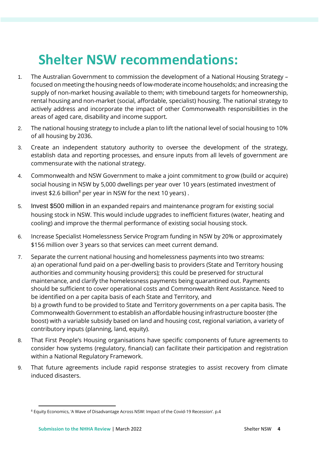# **Shelter NSW recommendations:**

- 1. The Australian Government to commission the development of a National Housing Strategy focused on meeting the housing needs of low-moderate income households; and increasing the supply of non-market housing available to them; with timebound targets for homeownership, rental housing and non-market (social, affordable, specialist) housing. The national strategy to actively address and incorporate the impact of other Commonwealth responsibilities in the areas of aged care, disability and income support.
- 2. The national housing strategy to include a plan to lift the national level of social housing to 10% of all housing by 2036.
- 3. Create an independent statutory authority to oversee the development of the strategy, establish data and reporting processes, and ensure inputs from all levels of government are commensurate with the national strategy.
- 4. Commonwealth and NSW Government to make a joint commitment to grow (build or acquire) social housing in NSW by 5,000 dwellings per year over 10 years (estimated investment of invest \$2.6 billion<sup>8</sup> per year in NSW for the next 10 years).
- 5. Invest \$500 million in an expanded repairs and maintenance program for existing social housing stock in NSW. This would include upgrades to inefficient fixtures (water, heating and cooling) and improve the thermal performance of existing social housing stock.
- 6. Increase Specialist Homelessness Service Program funding in NSW by 20% or approximately \$156 million over 3 years so that services can meet current demand.
- 7. Separate the current national housing and homelessness payments into two streams: a) an operational fund paid on a per-dwelling basis to providers (State and Territory housing authorities and community housing providers); this could be preserved for structural maintenance, and clarify the homelessness payments being quarantined out. Payments should be sufficient to cover operational costs and Commonwealth Rent Assistance. Need to be identified on a per capita basis of each State and Territory, and b) a growth fund to be provided to State and Territory governments on a per capita basis. The Commonwealth Government to establish an affordable housing infrastructure booster (the boost) with a variable subsidy based on land and housing cost, regional variation, a variety of contributory inputs (planning, land, equity).
- 8. That First People's Housing organisations have specific components of future agreements to consider how systems (regulatory, financial) can facilitate their participation and registration within a National Regulatory Framework.
- 9. That future agreements include rapid response strategies to assist recovery from climate induced disasters.

<sup>&</sup>lt;sup>8</sup> Equity Economics, 'A Wave of Disadvantage Across NSW: Impact of the Covid-19 Recession'. p.4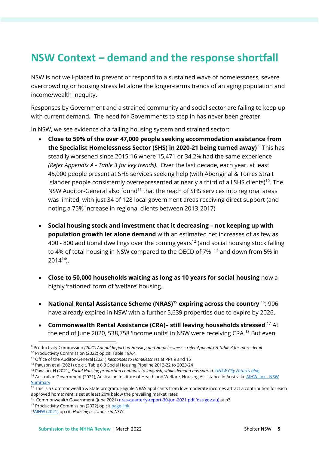# **NSW Context – demand and the response shortfall**

NSW is not well-placed to prevent or respond to a sustained wave of homelessness, severe overcrowding or housing stress let alone the longer-terms trends of an aging population and income/wealth inequity**.** 

Responses by Government and a strained community and social sector are failing to keep up with current demand**.** The need for Governments to step in has never been greater.

In NSW, we see evidence of a failing housing system and strained sector:

- **Close to 50% of the over 47,000 people seeking accommodation assistance from the Specialist Homelessness Sector (SHS) in 2020-21 being turned away)** <sup>9</sup> This has steadily worsened since 2015-16 where 15,471 or 34.2% had the same experience *(Refer Appendix A - Table 3 for key trends).* Over the last decade, each year, at least 45,000 people present at SHS services seeking help (with Aboriginal & Torres Strait Islander people consistently overrepresented at nearly a third of all SHS clients)<sup>10</sup>. The NSW Auditor-General also found<sup>11</sup> that the reach of SHS services into regional areas was limited, with just 34 of 128 local government areas receiving direct support (and noting a 75% increase in regional clients between 2013-2017)
- **Social housing stock and investment that it decreasing – not keeping up with population growth let alone demand** with an estimated net increases of as few as 400 - 800 additional dwellings over the coming years<sup>12</sup> (and social housing stock falling to 4% of total housing in NSW compared to the OECD of 7% <sup>13</sup> and down from 5% in  $2014^{14}$ ).
- **Close to 50,000 households waiting as long as 10 years for social housing** now a highly 'rationed' form of 'welfare' housing.
- **National Rental Assistance Scheme (NRAS)<sup>15</sup> expiring across the country** <sup>16</sup>: 906 have already expired in NSW with a further 5,639 properties due to expire by 2026.
- **Commonwealth Rental Assistance (CRA)– still leaving households stressed**. <sup>17</sup> At the end of June 2020, 538,758 'income units' in NSW were receiving CRA <sup>18</sup> But even

<sup>17</sup> Productivity Commission (2022) op cit [page link](https://www.pc.gov.au/research/ongoing/report-on-government-services/2022/housing-and-homelessness)

<sup>9</sup> Productivity Commission *(2021) Annual Report on Housing and Homelessness – refer Appendix A Table 3 for more detail* <sup>10</sup> Productivity Commission (2022) op.cit. Table 19A.4

<sup>11</sup> Office of the Auditor-General (2021) *Responses to Homelessness* at PPs 9 and 15

<sup>12</sup> Pawson et al (2021) op.cit. Table 6.3 Social Housing Pipeline 2012-22 to 2023-24

<sup>13</sup> Pawson, H (2021*), Social Housing production continues to languish, while demand has soared[, UNSW City Futures blog](https://blogs.unsw.edu.au/cityfutures/)*

<sup>&</sup>lt;sup>14</sup> Australian Government (2021), Australian Institute of Health and Welfare, Housing Assistance in Australia [AIHW link -](https://www.aihw.gov.au/getmedia/f13c642b-4848-4104-9508-721dd454d8e6/Housing-assistance-in-Australia-summary-NSW.pdf.aspx) NSW **[Summary](https://www.aihw.gov.au/getmedia/f13c642b-4848-4104-9508-721dd454d8e6/Housing-assistance-in-Australia-summary-NSW.pdf.aspx)** 

<sup>&</sup>lt;sup>15</sup> This is a Commonwealth & State program. Eligible NRAS applicants from low-moderate incomes attract a contribution for each approved home; rent is set at least 20% below the prevailing market rates

<sup>&</sup>lt;sup>16</sup> Commonwealth Government (June 2021) <u>nras-quarterly-report-30-jun-2021.pdf (dss.gov.au)</u> at p3

<sup>18</sup>[AIHW \(2021\)](https://www.aihw.gov.au/getmedia/f13c642b-4848-4104-9508-721dd454d8e6/Housing-assistance-in-Australia-summary-NSW.pdf.aspx) op cit, *Housing assistance in NSW*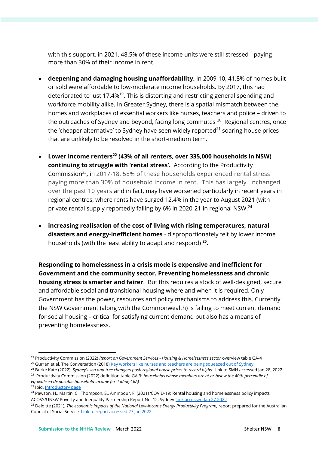with this support, in 2021, 48.5% of these income units were still stressed - paying more than 30% of their income in rent.

- **deepening and damaging housing unaffordability.** In 2009-10, 41.8% of homes built or sold were affordable to low-moderate income households. By 2017, this had deteriorated to just 17.4%<sup>19</sup>. This is distorting and restricting general spending and workforce mobility alike. In Greater Sydney, there is a spatial mismatch between the homes and workplaces of essential workers like nurses, teachers and police – driven to the outreaches of Sydney and beyond, facing long commutes  $^{20}$  Regional centres, once the 'cheaper alternative' to Sydney have seen widely reported $^{21}$  soaring house prices that are unlikely to be resolved in the short-medium term.
- **Lower income renters<sup>22</sup> (43% of all renters, over 335,000 households in NSW) continuing to struggle with 'rental stress'.** According to the Productivity Commission<sup>23</sup>, in 2017-18, 58% of these households experienced rental stress paying more than 30% of household income in rent. This has largely unchanged over the past 10 years and in fact, may have worsened particularly in recent years in regional centres, where rents have surged 12.4% in the year to August 2021 (with private rental supply reportedly falling by 6% in 2020-21 in regional NSW.<sup>24</sup>
- **increasing realisation of the cost of living with rising temperatures, natural disasters and energy-inefficient homes** - disproportionately felt by lower income households (with the least ability to adapt and respond) **<sup>25</sup> .**

**Responding to homelessness in a crisis mode is expensive and inefficient for Government and the community sector. Preventing homelessness and chronic housing stress is smarter and fairer**. But this requires a stock of well-designed, secure and affordable social and transitional housing where and when it is required. Only Government has the power, resources and policy mechanisms to address this. Currently the NSW Government (along with the Commonwealth) is failing to meet current demand for social housing – critical for satisfying current demand but also has a means of preventing homelessness.

<sup>19</sup> Productivity Commission (2022) *Report on Government Services - Housing & Homelessness sector* overview table GA-4

<sup>&</sup>lt;sup>20</sup> Gurran et al, The Conversation (2018[\) Key workers like nurses and teachers are being squeezed out of Sydney](https://theconversation.com/key-workers-like-nurses-and-teachers-are-being-squeezed-out-of-sydney-this-is-what-we-can-do-about-it-91476)

**<sup>21</sup>** Burke Kate (2022), *Sydney's sea and tree changers push regional house prices to record highs,* [link to SMH accessed Jan 28, 2022.](https://www.smh.com.au/property/news/sydney-s-sea-and-tree-changers-push-regional-house-prices-to-record-highs-20220127-p59rm9.html#:~:text=Domain%E2%80%99s%20chief%20of%20research%20and%20economics%20Nicola%20Powell,%E2%80%93%20taking%20annual%20growth%20to%2027.5%20per%20cent.)

<sup>22</sup> Productivity Commission (2022) definition table GA.3: *households whose members are at or below the 40th percentile of equivalised disposable household income (excluding CRA)*

<sup>23</sup> Ibid. [Introductory page](https://www.pc.gov.au/research/ongoing/report-on-government-services/2022/housing-and-homelessness)

<sup>&</sup>lt;sup>24</sup> Pawson, H., Martin, C., Thompson, S., Aminpour, F. (2021) 'COVID-19: Rental housing and homelessness policy impacts' ACOSS/UNSW Poverty and Inequality Partnership Report No. 12, Sydne[y Link accessed Jan 27 2022](https://www.acoss.org.au/wp-content/uploads/2021/11/Covid-19_rental-housing-and-homelessness-impacts-in-Australia-v2.pdf)

<sup>25</sup> Deloitte (2021), *The economic impacts of the National Low-Income Energy Productivity Program,* report prepared for the Australian Council of Social Service [Link to report accessed 27 Jan 2022](https://www.acoss.org.au/wp-content/uploads/2021/10/DAE-ACOSS_Economic_Impacts_of_NLEPP_Final_Report_211005.pdf)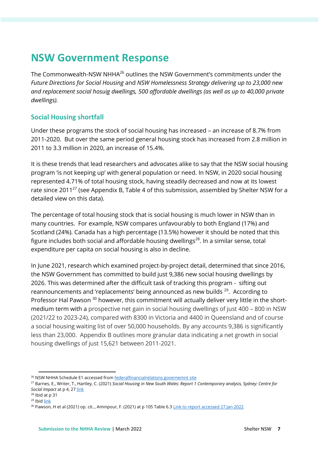# **NSW Government Response**

The Commonwealth-NSW NHHA<sup>26</sup> outlines the NSW Government's commitments under the *Future Directions for Social Housing* and *NSW Homelessness Strategy delivering up to 23,000 new and replacement social hosuig dwellings, 500 affordable dwellings (as well as up to 40,000 private dwellings).*

# **Social Housing shortfall**

Under these programs the stock of social housing has increased – an increase of 8.7% from 2011-2020. But over the same period general housing stock has increased from 2.8 million in 2011 to 3.3 million in 2020, an increase of 15.4%.

It is these trends that lead researchers and advocates alike to say that the NSW social housing program 'is not keeping up' with general population or need. In NSW, in 2020 social housing represented 4.71% of total housing stock, having steadily decreased and now at its lowest rate since 2011<sup>27</sup> (see Appendix B, Table 4 of this submission, assembled by Shelter NSW for a detailed view on this data).

The percentage of total housing stock that is social housing is much lower in NSW than in many countries. For example, NSW compares unfavourably to both England (17%) and Scotland (24%). Canada has a high percentage (13.5%) however it should be noted that this figure includes both social and affordable housing dwellings<sup>28</sup>. In a similar sense, total expenditure per capita on social housing is also in decline.

In June 2021, research which examined project-by-project detail, determined that since 2016, the NSW Government has committed to build just 9,386 new social housing dwellings by 2026. This was determined after the difficult task of tracking this program - sifting out reannouncements and 'replacements' being announced as new builds <sup>29</sup>. According to Professor Hal Pawson <sup>30</sup> however, this commitment will actually deliver very little in the shortmedium term with a prospective net gain in social housing dwellings of just 400 – 800 in NSW (2021/22 to 2023-24), compared with 8300 in Victoria and 4400 in Queensland and of course a social housing waiting list of over 50,000 households. By any accounts 9,386 is significantly less than 23,000. Appendix B outlines more granular data indicating a net growth in social housing dwellings of just 15,621 between 2011-2021.

<sup>&</sup>lt;sup>26</sup> NSW NHHA Schedule E1 accessed from **federalfinancialrelations** governemnt site

<sup>27</sup> Barnes, E., Writer, T., Hartley, C. (2021) *Social Housing in New South Wales: Report 1 Contemporary analysis, Sydney: Centre for Social Impact* at p 4, 2[7 link](https://www.csi.edu.au/media/uploads/social_housing_in_nsw_contemporary_analysis.pdf)

<sup>28</sup> Ibid at p 31

 $29$  Ibid  $link$ 

<sup>&</sup>lt;sup>30</sup> Pawson, H et al (2021) op. cit.., Aminpour, F. (2021) at p 105 Table 6.[3 Link to report accessed 27 Jan 2022](https://www.acoss.org.au/wp-content/uploads/2021/11/Covid-19_rental-housing-and-homelessness-impacts-in-Australia-v2.pdf)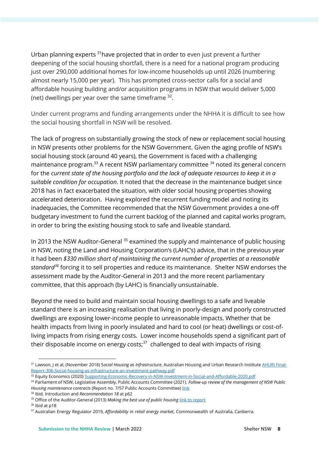Urban planning experts <sup>31</sup> have projected that in order to even just prevent a further deepening of the social housing shortfall, there is a need for a national program producing just over 290,000 additional homes for low-income households up until 2026 (numbering almost nearly 15,000 per year). This has prompted cross-sector calls for a social and affordable housing building and/or acquisition programs in NSW that would deliver 5,000 (net) dwellings per year over the same timeframe  $32$ .

Under current programs and funding arrangements under the NHHA it is difficult to see how the social housing shortfall in NSW will be resolved.

The lack of progress on substantially growing the stock of new or replacement social housing in NSW presents other problems for the NSW Government. Given the aging profile of NSW's social housing stock (around 40 years), the Government is faced with a challenging maintenance program.<sup>33</sup> A recent NSW parliamentary committee <sup>34</sup> noted its general concern for the *current state of the housing portfolio and the lack of adequate resources to keep it in a suitable condition for occupation*. It noted that the decrease in the maintenance budget since 2018 has in fact exacerbated the situation, with older social housing properties showing accelerated deterioration. Having explored the recurrent funding model and noting its inadequacies, the Committee recommended that the NSW Government provides a one-off budgetary investment to fund the current backlog of the planned and capital works program, in order to bring the existing housing stock to safe and liveable standard.

In 2013 the NSW Auditor-General  $35$  examined the supply and maintenance of public housing in NSW, noting the Land and Housing Corporation's (LAHC's) advice, that in the previous year it had been *\$330 million short of maintaining the current number of properties at a reasonable standard<sup>36</sup>* forcing it to sell properties and reduce its maintenance. Shelter NSW endorses the assessment made by the Auditor-General in 2013 and the more recent parliamentary committee, that this approach (by LAHC) is financially unsustainable.

Beyond the need to build and maintain social housing dwellings to a safe and liveable standard there is an increasing realisation that living in poorly-design and poorly constructed dwellings are exposing lower-income people to unreasonable impacts. Whether that be health impacts from living in poorly insulated and hard to cool (or heat) dwellings or cost-ofliving impacts from rising energy costs. Lower income households spend a significant part of their disposable income on energy costs; $37$  challenged to deal with impacts of rising

<sup>36</sup> Ibid at p18

<sup>&</sup>lt;sup>31</sup> Lawson, J et al, (November 2018) Social Housing as Infrastructure, Australian Housing and Urban Research Institut[e AHURI Final-](https://www.ahuri.edu.au/__data/assets/pdf_file/0025/29059/AHURI-Final-Report-306-Social-housing-as-infrastructure-an-investment-pathway.pdf)[Report-306-Social-housing-as-infrastructure-an-investment-pathway.pdf](https://www.ahuri.edu.au/__data/assets/pdf_file/0025/29059/AHURI-Final-Report-306-Social-housing-as-infrastructure-an-investment-pathway.pdf)

<sup>&</sup>lt;sup>32</sup> Equity Economics (2020) [Supporting-Economic-Recovery-in-NSW-Investment-in-Social-and-Affordable-2020.pdf](https://shelternsw.org.au/wp-content/uploads/2020/09/Supporting-Economic-Recovery-in-NSW-Investment-in-Social-and-Affordable-2020.pdf)

<sup>33</sup> Parliament of NSW, Legislative Assembly, Public Accounts Committee (2021). *Follow-up review of the management of NSW Public Housing maintenance contracts* (Report no. 7/57 Public Accounts Committee[\) link](https://www.parliament.nsw.gov.au/ladocs/inquiries/2624/Report%20-%20Follow-up%20Review%20of%20the%20Management%20of%20NSW%20Public%20Housing%20Maintenance%20Contracts.pdf)

<sup>34</sup> Ibid. Introduction and *Recommendation 18* at p62

<sup>&</sup>lt;sup>35</sup> Office of the Auditor-General (2013) Making the best use of public housing [link to report](https://www.audit.nsw.gov.au/sites/default/files/pdf-downloads/2013_Jul_Report_Making_the_Best_Use_of_Public_Housing.pdf)

<sup>37</sup> Australian Energy Regulator 2019, *Affordability in retail energy market*, Commonwealth of Australia, Canberra.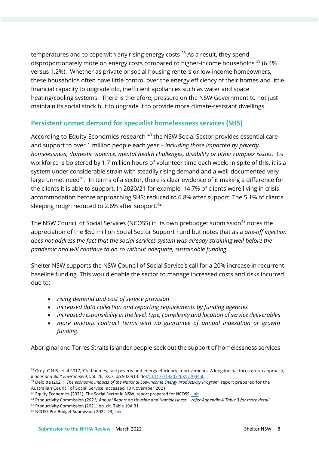temperatures and to cope with any rising energy costs  $38$  As a result, they spend disproportionately more on energy costs compared to higher-income households  $39$  (6.4%) versus 1.2%). Whether as private or social housing renters or low-income homeowners, these households often have little control over the energy efficiency of their homes and little financial capacity to upgrade old, inefficient appliances such as water and space heating/cooling systems. There is therefore, pressure on the NSW Government to not just maintain its social stock but to upgrade it to provide more climate-resistant dwellings.

# **Persistent unmet demand for specialist homelessness services (SHS)**

According to Equity Economics research <sup>40</sup> the NSW Social Sector provides essential care and support to over 1 million people each year – *including those impacted by poverty, homelessness, domestic violence, mental health challenges, disability or other complex issues*. Its workforce is bolstered by 1.7 million hours of volunteer time each week. In spite of this, it is a system under considerable strain with steadily rising demand and a well-documented very large unmet need<sup>41</sup>. In terms of a sector, there is clear evidence of it making a difference for the clients it is able to support. In 2020/21 for example, 14.7% of clients were living in crisis accommodation before approaching SHS; reduced to 6.8% after support. The 5.1% of clients sleeping rough reduced to 2.6% after support.<sup>42</sup>

The NSW Council of Social Services (NCOSS) in its own prebudget submission<sup>43</sup> notes the appreciation of the \$50 million Social Sector Support Fund but notes that as a *one-off injection does not address the fact that the social services system was already straining well before the pandemic and will continue to do so without adequate, sustainable funding.*

Shelter NSW supports the NSW Council of Social Service's call for a 20% increase in recurrent baseline funding. This would enable the sector to manage increased costs and risks incurred due to:

- *rising demand and cost of service provision*
- *increased data collection and reporting requirements by funding agencies*
- *increased responsibility in the level, type, complexity and location of service deliverables*
- *more onerous contract terms with no guarantee of annual indexation or growth funding.*

Aboriginal and Torres Straits Islander people seek out the support of homelessness services

<sup>38</sup> Grey, C.N.B. et al 2017, 'Cold homes, fuel poverty and energy efficiency improvements: A longitudinal focus group approach, *Indoor and Built Environment*, vol. 26, iss.7, pp.902-913. d[oi:10.1177/1420326X17703450](https://doi.org/10.1177/1420326X17703450)

<sup>39</sup> Deloitte (2021), *The economic impacts of the National Low-Income Energy Productivity Program,* report prepared for the Australian Council of Social Service, accessed 10 November 2021

<sup>&</sup>lt;sup>40</sup> Equity Economics (2021), The Social Sector in NSW, report prepared for NCOSS [Link](https://www.ncoss.org.au/wp-content/uploads/2021/03/The-Social-Sector-in-NSW_EE-Report_12.3.21.pdf)

<sup>41</sup> Productivity Commission *(2021) Annual Report on Housing and Homelessness – refer Appendix A Table 3 for more detail*

<sup>42</sup> Productivity Commission (2021) op. cit. Table 19A.31

<sup>43</sup> NCOSS Pre-Budget Submission 2022-23, [link](https://www.ncoss.org.au/policy-advocacy/policy-research-publications/ncoss-pre-budget-submission-2022-23/)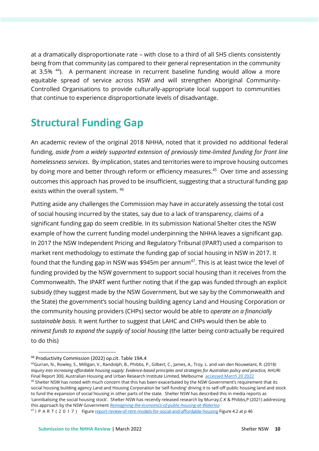at a dramatically disproportionate rate – with close to a third of all SHS clients consistently being from that community (as compared to their general representation in the community at 3.5% <sup>44</sup>). A permanent increase in recurrent baseline funding would allow a more equitable spread of service across NSW and will strengthen Aboriginal Community-Controlled Organisations to provide culturally-appropriate local support to communities that continue to experience disproportionate levels of disadvantage.

# **Structural Funding Gap**

An academic review of the original 2018 NHHA, noted that it provided no additional federal funding, *aside from a widely supported extension of previously time-limited funding for front line homelessness services*. By implication, states and territories were to improve housing outcomes by doing more and better through reform or efficiency measures.<sup>45</sup> Over time and assessing outcomes this approach has proved to be insufficient, suggesting that a structural funding gap exists within the overall system. <sup>46</sup>

Putting aside any challenges the Commission may have in accurately assessing the total cost of social housing incurred by the states, say due to a lack of transparency, claims of a significant funding gap do seem credible. In its submission National Shelter cites the NSW example of how the current funding model underpinning the NHHA leaves a significant gap. In 2017 the NSW Independent Pricing and Regulatory Tribunal (IPART) used a comparison to market rent methodology to estimate the funding gap of social housing in NSW in 2017. It found that the funding gap in NSW was \$945m per annum<sup>47</sup>. This is at least twice the level of funding provided by the NSW government to support social housing than it receives from the Commonwealth. The IPART went further noting that if the gap was funded through an explicit subsidy (they suggest made by the NSW Government, but we say by the Commonwealth and the State) the government's social housing building agency Land and Housing Corporation or the community housing providers (CHPs) sector would be able to *operate on a financially sustainable basis.* It went further to suggest that LAHC and CHPs would then be able to *reinvest funds to expand the supply of social housing* (the latter being contractually be required to do this)

<sup>44</sup> Productivity Commission (2022) op.cit. Table 19A.4

<sup>45</sup>Gurran, N., Rowley, S., Milligan, V., Randolph, B., Phibbs, P., Gilbert, C., James, A., Troy, L. and van den Nouwelant, R. (2018*) Inquiry into increasing affordable housing supply: Evidence-based principles and strategies for Australian policy and practice,* AHURI Final Report 300, Australian Housing and Urban Research Institute Limited, Melbourne [accessed March 20 2022](https://www.ahuri.edu.au/sites/default/files/migration/documents/AHURI_Final_Report_300_Inquiry_into_increasing_affordable_housing_supply_Evidence_based_principles_and_strategies_for_Australian_policies_and_practice.pdf)  $46$  Shelter NSW has noted with much concern that this has been exacerbated by the NSW Government's requirement that its social housing building agency Land and Housing Corporation be 'self-funding' driving it to self-off public housing land and stock to fund the expansion of social housing in other parts of the state. Shelter NSW has described this in media reports as 'cannibalising the social housing stock'. Shelter NSW has recently released research by Murray,C.K & Phibbs,P (2021) addressing this approach by the NSW Government *[Reimagining-the-economics-of-public-housing-at-Waterloo](https://shelternsw.org.au/wp-content/uploads/2022/03/Reimagining-the-economics-of-public-housing-at-Waterloo_FINAL.pdf)*

<sup>47</sup> I P A R T ( 2 0 1 7 ) Figur[e report-review-of-rent-models-for-social-and-affordable-housing](https://www.ipart.nsw.gov.au/sites/default/files/documents/final-report-review-of-rent-models-for-social-and-affordable-housing-july-2017-%5Bw172737%5D.pdf) Figure 4.2 at p 46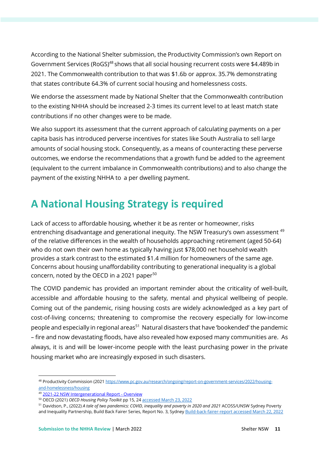According to the National Shelter submission, the Productivity Commission's own Report on Government Services (RoGS)<sup>48</sup> shows that all social housing recurrent costs were \$4.489b in 2021. The Commonwealth contribution to that was \$1.6b or approx. 35.7% demonstrating that states contribute 64.3% of current social housing and homelessness costs.

We endorse the assessment made by National Shelter that the Commonwealth contribution to the existing NHHA should be increased 2-3 times its current level to at least match state contributions if no other changes were to be made.

We also support its assessment that the current approach of calculating payments on a per capita basis has introduced perverse incentives for states like South Australia to sell large amounts of social housing stock. Consequently, as a means of counteracting these perverse outcomes, we endorse the recommendations that a growth fund be added to the agreement (equivalent to the current imbalance in Commonwealth contributions) and to also change the payment of the existing NHHA to a per dwelling payment.

# **A National Housing Strategy is required**

Lack of access to affordable housing, whether it be as renter or homeowner, risks entrenching disadvantage and generational inequity. The NSW Treasury's own assessment <sup>49</sup> of the relative differences in the wealth of households approaching retirement (aged 50-64) who do not own their own home as typically having just \$78,000 net household wealth provides a stark contrast to the estimated \$1.4 million for homeowners of the same age. Concerns about housing unaffordability contributing to generational inequality is a global concern, noted by the OECD in a 2021 paper<sup>50</sup>

The COVID pandemic has provided an important reminder about the criticality of well-built, accessible and affordable housing to the safety, mental and physical wellbeing of people. Coming out of the pandemic, rising housing costs are widely acknowledged as a key part of cost-of-living concerns; threatening to compromise the recovery especially for low-income people and especially in regional areas<sup>51</sup> Natural disasters that have 'bookended' the pandemic – fire and now devastating floods, have also revealed how exposed many communities are. As always, it is and will be lower-income people with the least purchasing power in the private housing market who are increasingly exposed in such disasters.

<sup>48</sup> Productivity Commission (202[1 https://www.pc.gov.au/research/ongoing/report-on-government-services/2022/housing](https://www.pc.gov.au/research/ongoing/report-on-government-services/2022/housing-and-homelessness/housing)[and-homelessness/housing](https://www.pc.gov.au/research/ongoing/report-on-government-services/2022/housing-and-homelessness/housing)

<sup>49</sup> [2021-22 NSW Intergenerational Report -](https://www.treasury.nsw.gov.au/sites/default/files/2021-06/2021-22%20NSW%20Intergenerational%20Report%20-%20Overview.pdf) Overview

<sup>50</sup> OECD (2021) *OECD Housing Policy Toolkit* pp 15, 2[4 accessed March 23, 2022](https://www.oecd.org/mcm/OECD%20Housing%20Policy%20Toolkit%20%E2%80%93%20Synthesis%20Report.pdf)

<sup>51</sup> Davidson, P., (2022) *A tale of two pandemics: COVID, inequality and poverty in 2020 and 2021* ACOSS/UNSW Sydney Poverty and Inequality Partnership, Build Back Fairer Series, Report No. 3, Sydney [Build-back-fairer-report accessed March 22, 2022](https://povertyandinequality.acoss.org.au/wp-content/uploads/2022/03/Build-back-fairer-report-3_FINAL.pdf)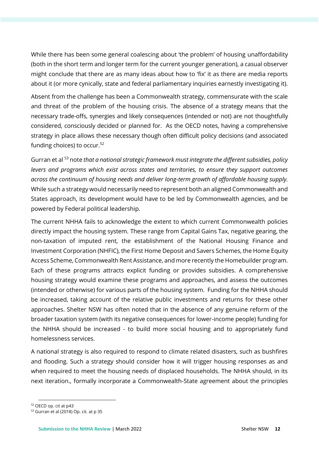While there has been some general coalescing about 'the problem' of housing unaffordability (both in the short term and longer term for the current younger generation), a casual observer might conclude that there are as many ideas about how to 'fix' it as there are media reports about it (or more cynically, state and federal parliamentary inquiries earnestly investigating it).

Absent from the challenge has been a Commonwealth strategy, commensurate with the scale and threat of the problem of the housing crisis. The absence of a strategy means that the necessary trade-offs, synergies and likely consequences (intended or not) are not thoughtfully considered, consciously decided or planned for. As the OECD notes, having a comprehensive strategy in place allows these necessary though often difficult policy decisions (and associated funding choices) to occur. 52

Gurran et al <sup>53</sup> note *that a national strategic framework must integrate the different subsidies, policy levers and programs which exist across states and territories, to ensure they support outcomes across the continuum of housing needs and deliver long-term growth of affordable housing supply.*  While such a strategy would necessarily need to represent both an aligned Commonwealth and States approach, its development would have to be led by Commonwealth agencies, and be powered by Federal political leadership.

The current NHHA fails to acknowledge the extent to which current Commonwealth policies directly impact the housing system. These range from Capital Gains Tax, negative gearing, the non-taxation of imputed rent, the establishment of the National Housing Finance and Investment Corporation (NHFIC), the First Home Deposit and Savers Schemes, the Home Equity Access Scheme, Commonwealth Rent Assistance, and more recently the Homebuilder program. Each of these programs attracts explicit funding or provides subsidies. A comprehensive housing strategy would examine these programs and approaches, and assess the outcomes (intended or otherwise) for various parts of the housing system. Funding for the NHHA should be increased, taking account of the relative public investments and returns for these other approaches. Shelter NSW has often noted that in the absence of any genuine reform of the broader taxation system (with its negative consequences for lower-income people) funding for the NHHA should be increased - to build more social housing and to appropriately fund homelessness services.

A national strategy is also required to respond to climate related disasters, such as bushfires and flooding. Such a strategy should consider how it will trigger housing responses as and when required to meet the housing needs of displaced households. The NHHA should, in its next iteration., formally incorporate a Commonwealth-State agreement about the principles

<sup>52</sup> OECD op. cit at p43

<sup>53</sup> Gurran et al (2018) Op. cit. at p 35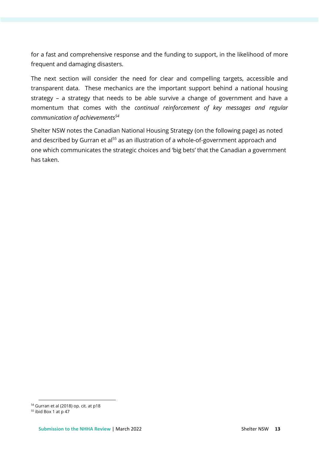for a fast and comprehensive response and the funding to support, in the likelihood of more frequent and damaging disasters.

The next section will consider the need for clear and compelling targets, accessible and transparent data. These mechanics are the important support behind a national housing strategy – a strategy that needs to be able survive a change of government and have a momentum that comes with the *continual reinforcement of key messages and regular communication of achievements<sup>54</sup>*

Shelter NSW notes the Canadian National Housing Strategy (on the following page) as noted and described by Gurran et al<sup>55</sup> as an illustration of a whole-of-government approach and one which communicates the strategic choices and 'big bets' that the Canadian a government has taken.

<sup>54</sup> Gurran et al (2018) op. cit. at p18

<sup>55</sup> ibid Box 1 at p 47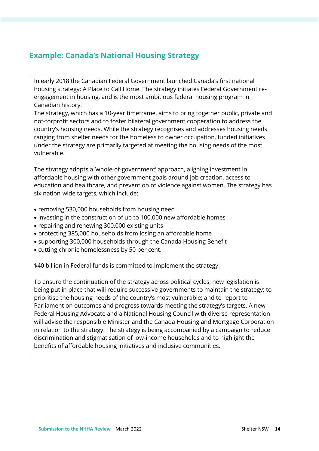# **Example: Canada's National Housing Strategy**

In early 2018 the Canadian Federal Government launched Canada's first national housing strategy: A Place to Call Home. The strategy initiates Federal Government reengagement in housing, and is the most ambitious federal housing program in Canadian history.

The strategy, which has a 10-year timeframe, aims to bring together public, private and not-forprofit sectors and to foster bilateral government cooperation to address the country's housing needs. While the strategy recognises and addresses housing needs ranging from shelter needs for the homeless to owner occupation, funded initiatives under the strategy are primarily targeted at meeting the housing needs of the most vulnerable.

The strategy adopts a 'whole-of-government' approach, aligning investment in affordable housing with other government goals around job creation, access to education and healthcare, and prevention of violence against women. The strategy has six nation-wide targets, which include:

- removing 530,000 households from housing need
- investing in the construction of up to 100,000 new affordable homes
- repairing and renewing 300,000 existing units
- protecting 385,000 households from losing an affordable home
- supporting 300,000 households through the Canada Housing Benefit
- cutting chronic homelessness by 50 per cent.

\$40 billion in Federal funds is committed to implement the strategy.

To ensure the continuation of the strategy across political cycles, new legislation is being put in place that will require successive governments to maintain the strategy; to prioritise the housing needs of the country's most vulnerable; and to report to Parliament on outcomes and progress towards meeting the strategy's targets. A new Federal Housing Advocate and a National Housing Council with diverse representation will advise the responsible Minister and the Canada Housing and Mortgage Corporation in relation to the strategy. The strategy is being accompanied by a campaign to reduce discrimination and stigmatisation of low-income households and to highlight the benefits of affordable housing initiatives and inclusive communities.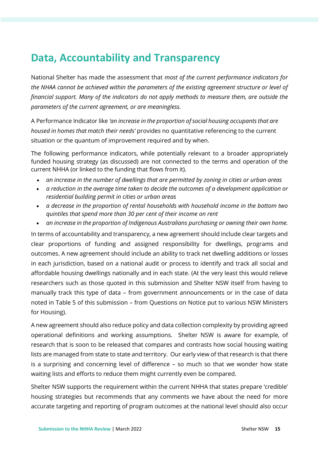# **Data, Accountability and Transparency**

National Shelter has made the assessment that *most of the current performance indicators for the NHAA cannot be achieved within the parameters of the existing agreement structure or level of financial support. Many of the indicators do not apply methods to measure them, are outside the parameters of the current agreement, or are meaningless.* 

A Performance Indicator like *'an increase in the proportion of social housing occupants that are housed in homes that match their needs'* provides no quantitative referencing to the current situation or the quantum of improvement required and by when.

The following performance indicators, while potentially relevant to a broader appropriately funded housing strategy (as discussed) are not connected to the terms and operation of the current NHHA (or linked to the funding that flows from it).

- *an increase in the number of dwellings that are permitted by zoning in cities or urban areas*
- *a reduction in the average time taken to decide the outcomes of a development application or residential building permit in cities or urban areas*
- *a decrease in the proportion of rental households with household income in the bottom two quintiles that spend more than 30 per cent of their income on rent*
- *an increase in the proportion of Indigenous Australians purchasing or owning their own home.*

In terms of accountability and transparency, a new agreement should include clear targets and clear proportions of funding and assigned responsibility for dwellings, programs and outcomes. A new agreement should include an ability to track net dwelling additions or losses in each jurisdiction, based on a national audit or process to identify and track all social and affordable housing dwellings nationally and in each state. (At the very least this would relieve researchers such as those quoted in this submission and Shelter NSW itself from having to manually track this type of data – from government announcements or in the case of data noted in Table 5 of this submission – from Questions on Notice put to various NSW Ministers for Housing).

A new agreement should also reduce policy and data collection complexity by providing agreed operational definitions and working assumptions. Shelter NSW is aware for example, of research that is soon to be released that compares and contrasts how social housing waiting lists are managed from state to state and territory. Our early view of that research is that there is a surprising and concerning level of difference – so much so that we wonder how state waiting lists and efforts to reduce them might currently even be compared.

Shelter NSW supports the requirement within the current NHHA that states prepare 'credible' housing strategies but recommends that any comments we have about the need for more accurate targeting and reporting of program outcomes at the national level should also occur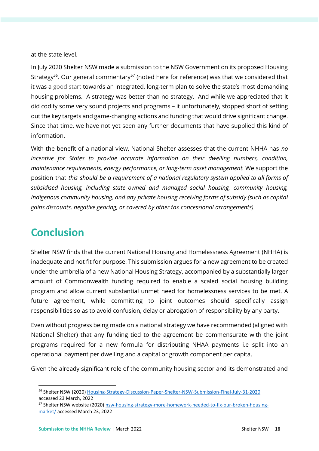at the state level.

In July 2020 Shelter NSW made a submission to the NSW Government on its proposed Housing Strategy<sup>56</sup>. Our general commentary<sup>57</sup> (noted here for reference) was that we considered that it was a good start towards an integrated, long-term plan to solve the state's most demanding housing problems. A strategy was better than no strategy. And while we appreciated that it did codify some very sound projects and programs – it unfortunately, stopped short of setting out the key targets and game-changing actions and funding that would drive significant change. Since that time, we have not yet seen any further documents that have supplied this kind of information.

With the benefit of a national view, National Shelter assesses that the current NHHA has *no incentive for States to provide accurate information on their dwelling numbers, condition, maintenance requirements, energy performance, or long-term asset management.* We support the position that *this should be a requirement of a national regulatory system applied to all forms of subsidised housing, including state owned and managed social housing, community housing, Indigenous community housing, and any private housing receiving forms of subsidy (such as capital gains discounts, negative gearing, or covered by other tax concessional arrangements).*

# **Conclusion**

Shelter NSW finds that the current National Housing and Homelessness Agreement (NHHA) is inadequate and not fit for purpose. This submission argues for a new agreement to be created under the umbrella of a new National Housing Strategy, accompanied by a substantially larger amount of Commonwealth funding required to enable a scaled social housing building program and allow current substantial unmet need for homelessness services to be met. A future agreement, while committing to joint outcomes should specifically assign responsibilities so as to avoid confusion, delay or abrogation of responsibility by any party.

Even without progress being made on a national strategy we have recommended (aligned with National Shelter) that any funding tied to the agreement be commensurate with the joint programs required for a new formula for distributing NHAA payments i.e split into an operational payment per dwelling and a capital or growth component per capita.

Given the already significant role of the community housing sector and its demonstrated and

<sup>56</sup> Shelter NSW (2020) [Housing-Strategy-Discussion-Paper-Shelter-NSW-Submission-Final-July-31-2020](https://shelternsw.org.au/wp-content/uploads/2020/11/Housing-Strategy-Discussion-Paper-Shelter-NSW-Submission-Final-July-31-2020-1-003.pdf) accessed 23 March, 2022

<sup>57</sup> Shelter NSW website (2020) [nsw-housing-strategy-more-homework-needed-to-fix-our-broken-housing](https://shelternsw.org.au/news_items/nsw-housing-strategy-more-homework-needed-to-fix-our-broken-housing-market/)[market/](https://shelternsw.org.au/news_items/nsw-housing-strategy-more-homework-needed-to-fix-our-broken-housing-market/) accessed March 23, 2022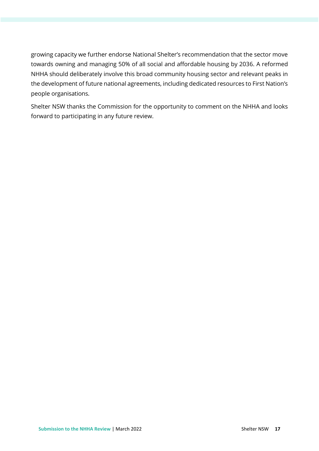growing capacity we further endorse National Shelter's recommendation that the sector move towards owning and managing 50% of all social and affordable housing by 2036. A reformed NHHA should deliberately involve this broad community housing sector and relevant peaks in the development of future national agreements, including dedicated resources to First Nation's people organisations.

Shelter NSW thanks the Commission for the opportunity to comment on the NHHA and looks forward to participating in any future review.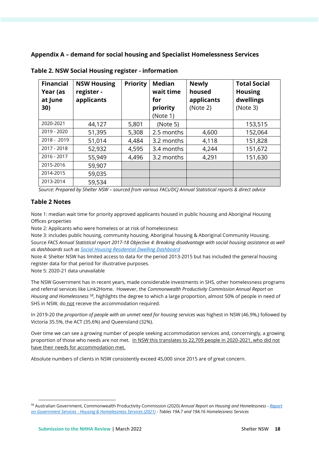## **Appendix A – demand for social housing and Specialist Homelessness Services**

| <b>Financial</b><br>Year (as<br>at June<br>30) | <b>NSW Housing</b><br>register -<br>applicants | <b>Priority</b> | <b>Median</b><br>wait time<br>for<br>priority<br>(Note 1) | <b>Newly</b><br>housed<br>applicants<br>(Note 2) | <b>Total Social</b><br><b>Housing</b><br>dwellings<br>(Note 3) |
|------------------------------------------------|------------------------------------------------|-----------------|-----------------------------------------------------------|--------------------------------------------------|----------------------------------------------------------------|
| 2020-2021                                      | 44,127                                         | 5,801           | (Note 5)                                                  |                                                  | 153,515                                                        |
| 2019 - 2020                                    | 51,395                                         | 5,308           | 2.5 months                                                | 4,600                                            | 152,064                                                        |
| 2018 - 2019                                    | 51,014                                         | 4,484           | 3.2 months                                                | 4,118                                            | 151,828                                                        |
| 2017 - 2018                                    | 52,932                                         | 4,595           | 3.4 months                                                | 4,244                                            | 151,672                                                        |
| 2016 - 2017                                    | 55,949                                         | 4,496           | 3.2 months                                                | 4,291                                            | 151,630                                                        |
| 2015-2016                                      | 59,907                                         |                 |                                                           |                                                  |                                                                |
| 2014-2015                                      | 59,035                                         |                 |                                                           |                                                  |                                                                |
| 2013-2014                                      | 59,534                                         |                 |                                                           |                                                  |                                                                |

**Table 2. NSW Social Housing register - information**

*Source: Prepared by Shelter NSW – sourced from various FACs/DCJ Annual Statistical reports & direct advice*

## **Table 2 Notes**

Note 1: median wait time for priority approved applicants housed in public housing and Aboriginal Housing Offices properties

Note 2: Applicants who were homeless or at risk of homelessness

Note 3: includes public housing, community housing, Aboriginal housing & Aboriginal Community Housing. Source *FACS Annual Statistical report 2017-18 Objective 4: Breaking disadvantage with social housing assistance as well as dashboards such a[s Social Housing Residential Dwelling Dashboard](https://public.tableau.com/profile/facs.statistics#!/vizhome/Social_Housing_Residential_Dwellings/Dashboard)*

Note 4: Shelter NSW has limited access to data for the period 2013-2015 but has included the general housing register data for that period for illustrative purposes.

Note 5: 2020-21 data unavailable

The NSW Government has in recent years, made considerable investments in SHS, other homelessness programs and referral services like Link2Home. However, the *Commonwealth Productivity Commission Annual Report on Housing and Homelessness <sup>58</sup>*, highlights the degree to which a large proportion, almost 50% of people in need of SHS in NSW, do not receive the accommodation required.

In 2019-20 the *proportion of people with an unmet need for housing services* was highest in NSW (46.9%,) followed by Victoria 35.5%, the ACT (35.6%) and Queensland (32%).

Over time we can see a growing number of people seeking accommodation services and, concerningly, a growing proportion of those who needs are not met. In NSW this translates to 22,709 people in 2020-2021, who did not have their needs for accommodation met.

Absolute numbers of clients in NSW consistently exceed 45,000 since 2015 are of great concern.

<sup>58</sup> Australian Government, Commonwealth Productivity Commission (2020) *Annual Report on Housing and Homelessness - [Report](https://www.pc.gov.au/research/ongoing/report-on-government-services/2022/housing-and-homelessness)  on Government Services - [Housing & Homelessness Services \(2021\)](https://www.pc.gov.au/research/ongoing/report-on-government-services/2022/housing-and-homelessness) - Tables 19A.7 and 19A.16 Homelessness Services*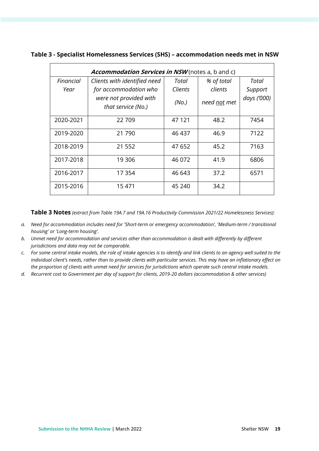| Accommodation Services in NSW (notes a, b and c) |                                              |                   |              |             |  |  |  |
|--------------------------------------------------|----------------------------------------------|-------------------|--------------|-------------|--|--|--|
| Financial                                        | Clients with identified need                 | Total             | % of total   | Total       |  |  |  |
| Year                                             | for accommodation who                        | Clients           | clients      | Support     |  |  |  |
|                                                  | were not provided with<br>that service (No.) | (N <sub>O</sub> ) | need not met | days ('000) |  |  |  |
| 2020-2021                                        | 22709                                        | 47 121            | 48.2         | 7454        |  |  |  |
| 2019-2020                                        | 21 790                                       | 46 437            | 46.9         | 7122        |  |  |  |
| 2018-2019                                        | 21 552                                       | 47 652            | 45.2         | 7163        |  |  |  |
| 2017-2018                                        | 19 306                                       | 46 072            | 41.9         | 6806        |  |  |  |
| 2016-2017                                        | 17 354                                       | 46 643            | 37.2         | 6571        |  |  |  |
| 2015-2016                                        | 15 471                                       | 45 240            | 34.2         |             |  |  |  |

### **Table 3 - Specialist Homelessness Services (SHS) – accommodation needs met in NSW**

**Table 3 Notes** *(extract from Table 19A.7 and 19A.16 Productivity Commission 2021/22 Homelessness Services):* 

- *a. Need for accommodation includes need for 'Short-term or emergency accommodation', 'Medium-term / transitional housing' or 'Long-term housing'.*
- *b. Unmet need for accommodation and services other than accommodation is dealt with differently by different jurisdictions and data may not be comparable.*
- *c. For some central intake models, the role of intake agencies is to identify and link clients to an agency well suited to the individual client's needs, rather than to provide clients with particular services. This may have an inflationary effect on the proportion of clients with unmet need for services for jurisdictions which operate such central intake models.*
- *d. Recurrent cost to Government per day of support for clients, 2019-20 dollars (accommodation & other services)*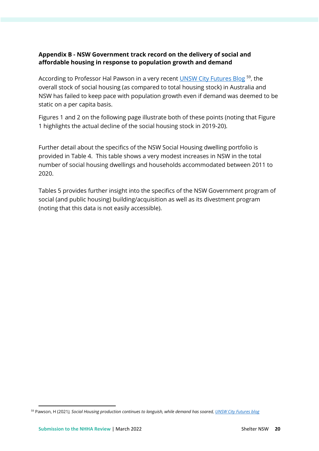## **Appendix B - NSW Government track record on the delivery of social and affordable housing in response to population growth and demand**

According to Professor Hal Pawson in a very recent **UNSW City Futures Blog <sup>59</sup>, the** overall stock of social housing (as compared to total housing stock) in Australia and NSW has failed to keep pace with population growth even if demand was deemed to be static on a per capita basis.

Figures 1 and 2 on the following page illustrate both of these points (noting that Figure 1 highlights the actual decline of the social housing stock in 2019-20).

Further detail about the specifics of the NSW Social Housing dwelling portfolio is provided in Table 4. This table shows a very modest increases in NSW in the total number of social housing dwellings and households accommodated between 2011 to 2020.

Tables 5 provides further insight into the specifics of the NSW Government program of social (and public housing) building/acquisition as well as its divestment program (noting that this data is not easily accessible).

<sup>59</sup> Pawson, H (2021*), Social Housing production continues to languish, while demand has soared[, UNSW City Futures blog](https://blogs.unsw.edu.au/cityfutures/)*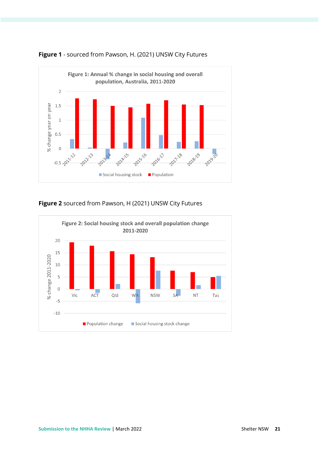



## **Figure 2** sourced from Pawson, H (2021) UNSW City Futures

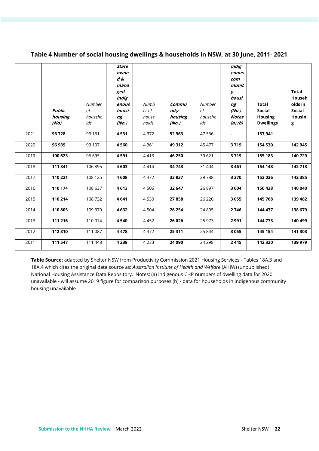|      | <b>Public</b><br>housing<br>(No) | <b>Number</b><br>of<br>househo<br>lds | <b>State</b><br>owne<br>$d\mathcal{L}$<br>mana<br>ged<br>Indig<br>enous<br>housi<br>ng<br>(No.) | Numb<br>er of<br>house<br>holds | Commu<br>nity<br>housing<br>(No.) | <b>Number</b><br>of<br>househo<br>lds | <b>Indig</b><br>enous<br>com<br>munit<br>у<br>housi<br>ng<br>(No.)<br><b>Notes</b><br>(a)(b) | <b>Total</b><br><b>Social</b><br><b>Housing</b><br><b>Dwellings</b> | <b>Total</b><br>Househ<br>olds in<br><b>Social</b><br>Housin<br>g |
|------|----------------------------------|---------------------------------------|-------------------------------------------------------------------------------------------------|---------------------------------|-----------------------------------|---------------------------------------|----------------------------------------------------------------------------------------------|---------------------------------------------------------------------|-------------------------------------------------------------------|
| 2021 | 96 728                           | 93 131                                | 4531                                                                                            | 4 3 7 2                         | 52 963                            | 47 536                                | $\blacksquare$                                                                               | 157,941                                                             |                                                                   |
| 2020 | 96 939                           | 93 107                                | 4560                                                                                            | 4 3 6 1                         | 49 312                            | 45 477                                | 3719                                                                                         | 154 530                                                             | 142 945                                                           |
| 2019 | 100 623                          | 96 695                                | 4591                                                                                            | 4413                            | 46 250                            | 39 621                                | 3719                                                                                         | 155 183                                                             | 140729                                                            |
| 2018 | 111 341                          | 106 895                               | 4 6 0 3                                                                                         | 4414                            | 34743                             | 31 404                                | 3461                                                                                         | 154 148                                                             | 142713                                                            |
| 2017 | 110 221                          | 108 125                               | 4608                                                                                            | 4 4 7 2                         | 33837                             | 29788                                 | 3370                                                                                         | 152 036                                                             | 142 385                                                           |
| 2016 | 110 174                          | 108 637                               | 4613                                                                                            | 4506                            | 32 647                            | 26 897                                | 3 0 0 4                                                                                      | 150 438                                                             | 140 040                                                           |
| 2015 | 110 214                          | 108 732                               | 4641                                                                                            | 4530                            | 27858                             | 26 220                                | 3055                                                                                         | 145 768                                                             | 139 482                                                           |
| 2014 | 110 805                          | 109 370                               | 4632                                                                                            | 4 5 0 4                         | 26 254                            | 24 805                                | 2746                                                                                         | 144 437                                                             | 138 679                                                           |
| 2013 | 111 216                          | 110 074                               | 4540                                                                                            | 4452                            | 26 0 26                           | 25 973                                | 2991                                                                                         | 144 773                                                             | 140 499                                                           |
| 2012 | 112 310                          | 111 087                               | 4478                                                                                            | 4372                            | 25 311                            | 25 844                                | 3055                                                                                         | 145 154                                                             | 141 303                                                           |
| 2011 | 111 547                          | 111 448                               | 4 2 3 8                                                                                         | 4 2 3 3                         | 24 090                            | 24 298                                | 2445                                                                                         | 142 320                                                             | 139 979                                                           |

### **Table 4 Number of social housing dwellings & households in NSW, at 30 June, 2011- 2021**

**Table Source:** adapted by Shelter NSW from Productivity Commission 2021 Housing Services - Tables 18A.3 and 18A.4 which cites the original data source as: *Australian Institute of Health and Welfare* (AIHW) (unpublished) National Housing Assistance Data Repository. Notes: (a) Indigenous CHP numbers of dwelling data for 2020 unavailable - will assume 2019 figure for comparison purposes (b) - data for households in indigenous community housing unavailable